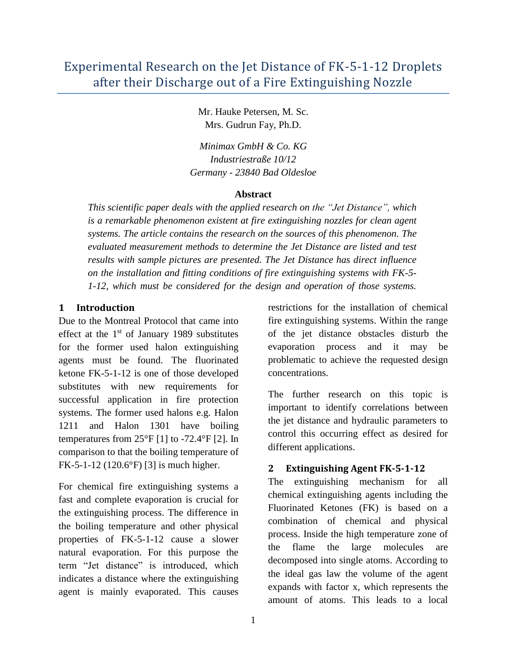Mr. Hauke Petersen, M. Sc. Mrs. Gudrun Fay, Ph.D.

*Minimax GmbH & Co. KG Industriestraße 10/12 Germany - 23840 Bad Oldesloe*

### **Abstract**

*This scientific paper deals with the applied research on the "Jet Distance", which is a remarkable phenomenon existent at fire extinguishing nozzles for clean agent systems. The article contains the research on the sources of this phenomenon. The evaluated measurement methods to determine the Jet Distance are listed and test results with sample pictures are presented. The Jet Distance has direct influence on the installation and fitting conditions of fire extinguishing systems with FK-5- 1-12, which must be considered for the design and operation of those systems.* 

# **1 Introduction**

Due to the Montreal Protocol that came into effect at the  $1<sup>st</sup>$  of January 1989 substitutes for the former used halon extinguishing agents must be found. The fluorinated ketone FK-5-1-12 is one of those developed substitutes with new requirements for successful application in fire protection systems. The former used halons e.g. Halon 1211 and Halon 1301 have boiling temperatures from  $25^{\circ}F$  [1] to -72.4 $^{\circ}F$  [2]. In comparison to that the boiling temperature of FK-5-1-12 (120.6°F) [3] is much higher.

For chemical fire extinguishing systems a fast and complete evaporation is crucial for the extinguishing process. The difference in the boiling temperature and other physical properties of FK-5-1-12 cause a slower natural evaporation. For this purpose the term "Jet distance" is introduced, which indicates a distance where the extinguishing agent is mainly evaporated. This causes

restrictions for the installation of chemical fire extinguishing systems. Within the range of the jet distance obstacles disturb the evaporation process and it may be problematic to achieve the requested design concentrations.

The further research on this topic is important to identify correlations between the jet distance and hydraulic parameters to control this occurring effect as desired for different applications.

# **2 Extinguishing Agent FK-5-1-12**

The extinguishing mechanism for all chemical extinguishing agents including the Fluorinated Ketones (FK) is based on a combination of chemical and physical process. Inside the high temperature zone of the flame the large molecules are decomposed into single atoms. According to the ideal gas law the volume of the agent expands with factor x, which represents the amount of atoms. This leads to a local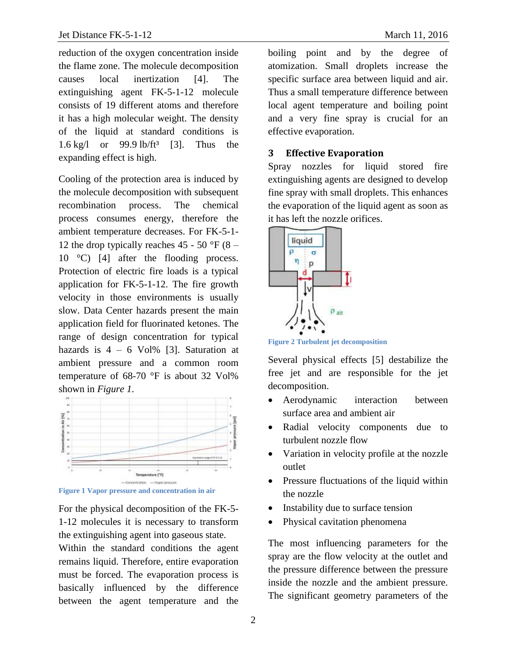reduction of the oxygen concentration inside the flame zone. The molecule decomposition causes local inertization [4]. The extinguishing agent FK-5-1-12 molecule consists of 19 different atoms and therefore it has a high molecular weight. The density of the liquid at standard conditions is 1.6 kg/l or  $99.9$  lb/ft<sup>3</sup> [3]. Thus the expanding effect is high.

Cooling of the protection area is induced by the molecule decomposition with subsequent recombination process. The chemical process consumes energy, therefore the ambient temperature decreases. For FK-5-1- 12 the drop typically reaches 45 - 50 °F (8 – 10 °C) [4] after the flooding process. Protection of electric fire loads is a typical application for FK-5-1-12. The fire growth velocity in those environments is usually slow. Data Center hazards present the main application field for fluorinated ketones. The range of design concentration for typical hazards is  $4 - 6$  Vol% [3]. Saturation at ambient pressure and a common room temperature of 68-70 °F is about 32 Vol% shown in *[Figure 1](#page-1-0)*.



<span id="page-1-0"></span>**Figure 1 Vapor pressure and concentration in air**

For the physical decomposition of the FK-5- 1-12 molecules it is necessary to transform the extinguishing agent into gaseous state. Within the standard conditions the agent remains liquid. Therefore, entire evaporation must be forced. The evaporation process is basically influenced by the difference between the agent temperature and the

boiling point and by the degree of atomization. Small droplets increase the specific surface area between liquid and air. Thus a small temperature difference between local agent temperature and boiling point and a very fine spray is crucial for an effective evaporation.

#### **3 Effective Evaporation**

Spray nozzles for liquid stored fire extinguishing agents are designed to develop fine spray with small droplets. This enhances the evaporation of the liquid agent as soon as it has left the nozzle orifices.



**Figure 2 Turbulent jet decomposition**

Several physical effects [5] destabilize the free jet and are responsible for the jet decomposition.

- Aerodynamic interaction between surface area and ambient air
- Radial velocity components due to turbulent nozzle flow
- Variation in velocity profile at the nozzle outlet
- Pressure fluctuations of the liquid within the nozzle
- Instability due to surface tension
- Physical cavitation phenomena

The most influencing parameters for the spray are the flow velocity at the outlet and the pressure difference between the pressure inside the nozzle and the ambient pressure. The significant geometry parameters of the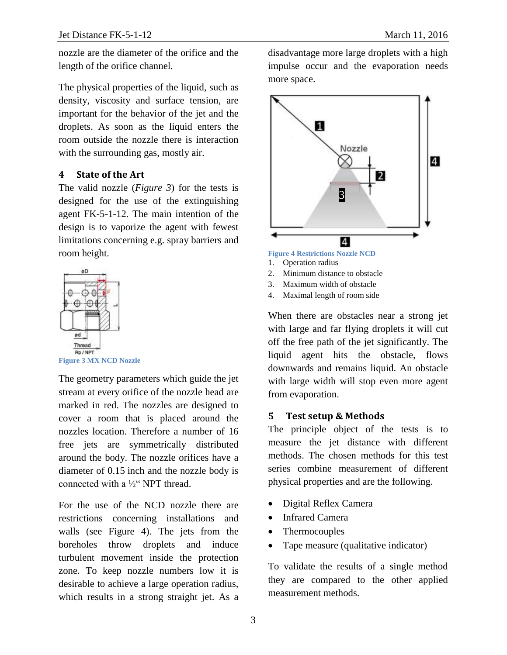nozzle are the diameter of the orifice and the length of the orifice channel.

The physical properties of the liquid, such as density, viscosity and surface tension, are important for the behavior of the jet and the droplets. As soon as the liquid enters the room outside the nozzle there is interaction with the surrounding gas, mostly air.

### **4 State of the Art**

The valid nozzle (*[Figure 3](#page-2-0)*) for the tests is designed for the use of the extinguishing agent FK-5-1-12. The main intention of the design is to vaporize the agent with fewest limitations concerning e.g. spray barriers and room height.



<span id="page-2-0"></span>The geometry parameters which guide the jet stream at every orifice of the nozzle head are marked in red. The nozzles are designed to cover a room that is placed around the nozzles location. Therefore a number of 16 free jets are symmetrically distributed around the body. The nozzle orifices have a diameter of 0.15 inch and the nozzle body is connected with a ½" NPT thread.

For the use of the NCD nozzle there are restrictions concerning installations and walls (see [Figure 4\)](#page-2-1). The jets from the boreholes throw droplets and induce turbulent movement inside the protection zone. To keep nozzle numbers low it is desirable to achieve a large operation radius, which results in a strong straight jet. As a

disadvantage more large droplets with a high impulse occur and the evaporation needs more space.



- <span id="page-2-1"></span>2. Minimum distance to obstacle
- 3. Maximum width of obstacle
- 4. Maximal length of room side

When there are obstacles near a strong jet with large and far flying droplets it will cut off the free path of the jet significantly. The liquid agent hits the obstacle, flows downwards and remains liquid. An obstacle with large width will stop even more agent from evaporation.

#### **5 Test setup & Methods**

The principle object of the tests is to measure the jet distance with different methods. The chosen methods for this test series combine measurement of different physical properties and are the following.

- Digital Reflex Camera
- Infrared Camera
- Thermocouples
- Tape measure (qualitative indicator)

To validate the results of a single method they are compared to the other applied measurement methods.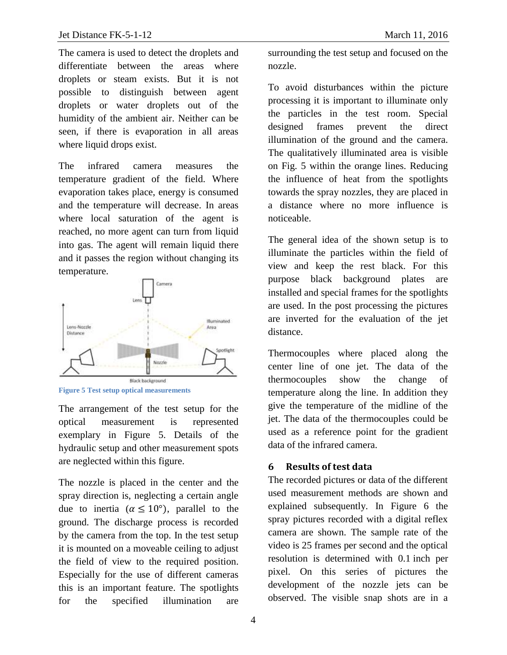The camera is used to detect the droplets and differentiate between the areas where droplets or steam exists. But it is not possible to distinguish between agent droplets or water droplets out of the humidity of the ambient air. Neither can be seen, if there is evaporation in all areas where liquid drops exist.

The infrared camera measures the temperature gradient of the field. Where evaporation takes place, energy is consumed and the temperature will decrease. In areas where local saturation of the agent is reached, no more agent can turn from liquid into gas. The agent will remain liquid there and it passes the region without changing its temperature.



<span id="page-3-0"></span>**Figure 5 Test setup optical measurements**

The arrangement of the test setup for the optical measurement is represented exemplary in [Figure 5.](#page-3-0) Details of the hydraulic setup and other measurement spots are neglected within this figure.

The nozzle is placed in the center and the spray direction is, neglecting a certain angle due to inertia ( $\alpha \le 10^{\circ}$ ), parallel to the ground. The discharge process is recorded by the camera from the top. In the test setup it is mounted on a moveable ceiling to adjust the field of view to the required position. Especially for the use of different cameras this is an important feature. The spotlights for the specified illumination are

surrounding the test setup and focused on the nozzle.

To avoid disturbances within the picture processing it is important to illuminate only the particles in the test room. Special designed frames prevent the direct illumination of the ground and the camera. The qualitatively illuminated area is visible on Fig. 5 within the orange lines. Reducing the influence of heat from the spotlights towards the spray nozzles, they are placed in a distance where no more influence is noticeable.

The general idea of the shown setup is to illuminate the particles within the field of view and keep the rest black. For this purpose black background plates are installed and special frames for the spotlights are used. In the post processing the pictures are inverted for the evaluation of the jet distance.

Thermocouples where placed along the center line of one jet. The data of the thermocouples show the change of temperature along the line. In addition they give the temperature of the midline of the jet. The data of the thermocouples could be used as a reference point for the gradient data of the infrared camera.

# **6 Results of test data**

The recorded pictures or data of the different used measurement methods are shown and explained subsequently. In [Figure 6](#page-4-0) the spray pictures recorded with a digital reflex camera are shown. The sample rate of the video is 25 frames per second and the optical resolution is determined with 0.1 inch per pixel. On this series of pictures the development of the nozzle jets can be observed. The visible snap shots are in a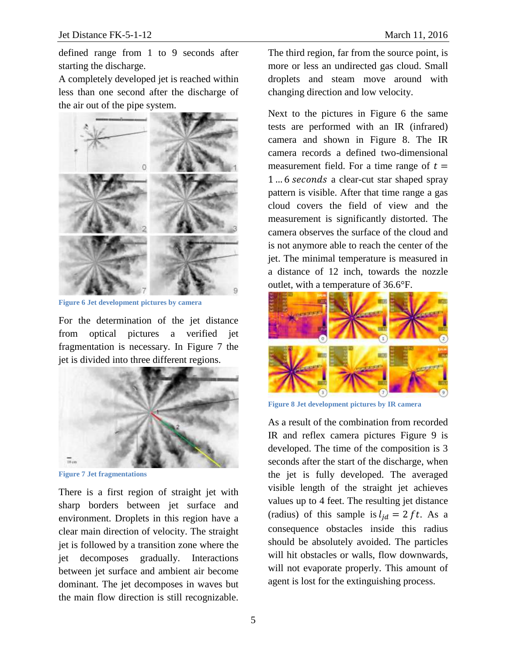defined range from 1 to 9 seconds after starting the discharge.

A completely developed jet is reached within less than one second after the discharge of the air out of the pipe system.



**Figure 6 Jet development pictures by camera**

<span id="page-4-0"></span>For the determination of the jet distance from optical pictures a verified jet fragmentation is necessary. In [Figure 7](#page-4-1) the jet is divided into three different regions.



**Figure 7 Jet fragmentations**

<span id="page-4-1"></span>There is a first region of straight jet with sharp borders between jet surface and environment. Droplets in this region have a clear main direction of velocity. The straight jet is followed by a transition zone where the jet decomposes gradually. Interactions between jet surface and ambient air become dominant. The jet decomposes in waves but the main flow direction is still recognizable.

The third region, far from the source point, is more or less an undirected gas cloud. Small droplets and steam move around with changing direction and low velocity.

Next to the pictures in [Figure 6](#page-4-0) the same tests are performed with an IR (infrared) camera and shown in [Figure 8.](#page-4-2) The IR camera records a defined two-dimensional measurement field. For a time range of  $t =$ 1... 6 seconds a clear-cut star shaped spray pattern is visible. After that time range a gas cloud covers the field of view and the measurement is significantly distorted. The camera observes the surface of the cloud and is not anymore able to reach the center of the jet. The minimal temperature is measured in a distance of 12 inch, towards the nozzle outlet, with a temperature of 36.6°F.



<span id="page-4-2"></span>**Figure 8 Jet development pictures by IR camera**

As a result of the combination from recorded IR and reflex camera pictures [Figure 9](#page-5-0) is developed. The time of the composition is 3 seconds after the start of the discharge, when the jet is fully developed. The averaged visible length of the straight jet achieves values up to 4 feet. The resulting jet distance (radius) of this sample is  $l_{id} = 2 ft$ . As a consequence obstacles inside this radius should be absolutely avoided. The particles will hit obstacles or walls, flow downwards, will not evaporate properly. This amount of agent is lost for the extinguishing process.